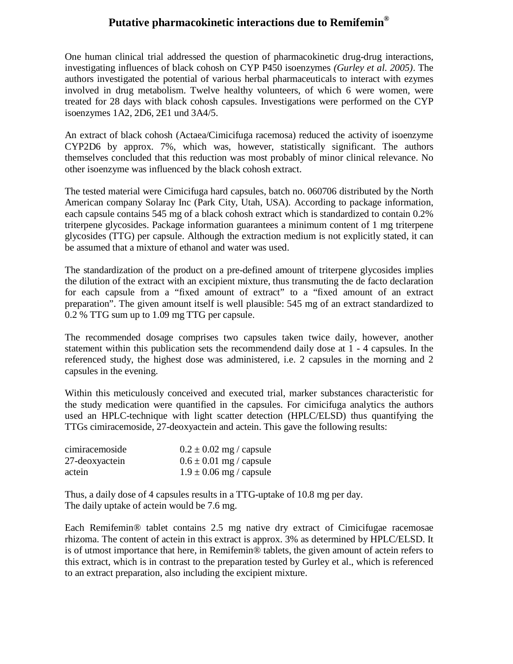## **Putative pharmacokinetic interactions due to Remifemin®**

One human clinical trial addressed the question of pharmacokinetic drug-drug interactions, investigating influences of black cohosh on CYP P450 isoenzymes *(Gurley et al. 2005)*. The authors investigated the potential of various herbal pharmaceuticals to interact with ezymes involved in drug metabolism. Twelve healthy volunteers, of which 6 were women, were treated for 28 days with black cohosh capsules. Investigations were performed on the CYP isoenzymes 1A2, 2D6, 2E1 und 3A4/5.

An extract of black cohosh (Actaea/Cimicifuga racemosa) reduced the activity of isoenzyme CYP2D6 by approx. 7%, which was, however, statistically significant. The authors themselves concluded that this reduction was most probably of minor clinical relevance. No other isoenzyme was influenced by the black cohosh extract.

The tested material were Cimicifuga hard capsules, batch no. 060706 distributed by the North American company Solaray Inc (Park City, Utah, USA). According to package information, each capsule contains 545 mg of a black cohosh extract which is standardized to contain 0.2% triterpene glycosides. Package information guarantees a minimum content of 1 mg triterpene glycosides (TTG) per capsule. Although the extraction medium is not explicitly stated, it can be assumed that a mixture of ethanol and water was used.

The standardization of the product on a pre-defined amount of triterpene glycosides implies the dilution of the extract with an excipient mixture, thus transmuting the de facto declaration for each capsule from a "fixed amount of extract" to a "fixed amount of an extract preparation". The given amount itself is well plausible: 545 mg of an extract standardized to 0.2 % TTG sum up to 1.09 mg TTG per capsule.

The recommended dosage comprises two capsules taken twice daily, however, another statement within this publication sets the recommendend daily dose at 1 - 4 capsules. In the referenced study, the highest dose was administered, i.e. 2 capsules in the morning and 2 capsules in the evening.

Within this meticulously conceived and executed trial, marker substances characteristic for the study medication were quantified in the capsules. For cimicifuga analytics the authors used an HPLC-technique with light scatter detection (HPLC/ELSD) thus quantifying the TTGs cimiracemoside, 27-deoxyactein and actein. This gave the following results:

| cimiracemoside | $0.2 \pm 0.02$ mg / capsule |
|----------------|-----------------------------|
| 27-deoxyactein | $0.6 \pm 0.01$ mg / capsule |
| actein         | $1.9 \pm 0.06$ mg / capsule |

Thus, a daily dose of 4 capsules results in a TTG-uptake of 10.8 mg per day. The daily uptake of actein would be 7.6 mg.

Each Remifemin® tablet contains 2.5 mg native dry extract of Cimicifugae racemosae rhizoma. The content of actein in this extract is approx. 3% as determined by HPLC/ELSD. It is of utmost importance that here, in Remifemin® tablets, the given amount of actein refers to this extract, which is in contrast to the preparation tested by Gurley et al., which is referenced to an extract preparation, also including the excipient mixture.